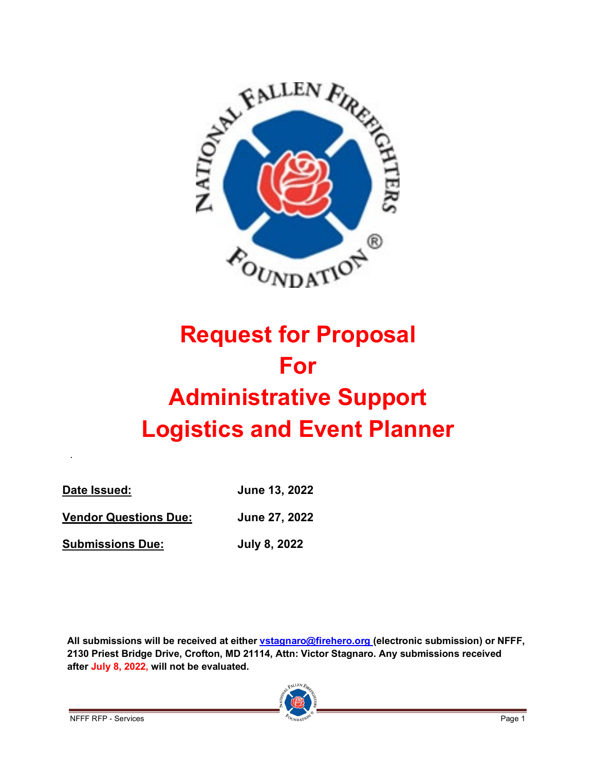

# **Request for Proposal For Administrative Support Logistics and Event Planner**

| Date Issued: | June 13, 2022 |
|--------------|---------------|
|--------------|---------------|

**Vendor Questions Due: June 27, 2022** 

**Submissions Due: July 8, 2022**

**All submissions will be received at either [vstagnaro@firehero.org \(](mailto:vstagnaro@firehero.org)electronic submission) or NFFF, 2130 Priest Bridge Drive, Crofton, MD 21114, Attn: Victor Stagnaro. Any submissions received after July 8, 2022, will not be evaluated.**



.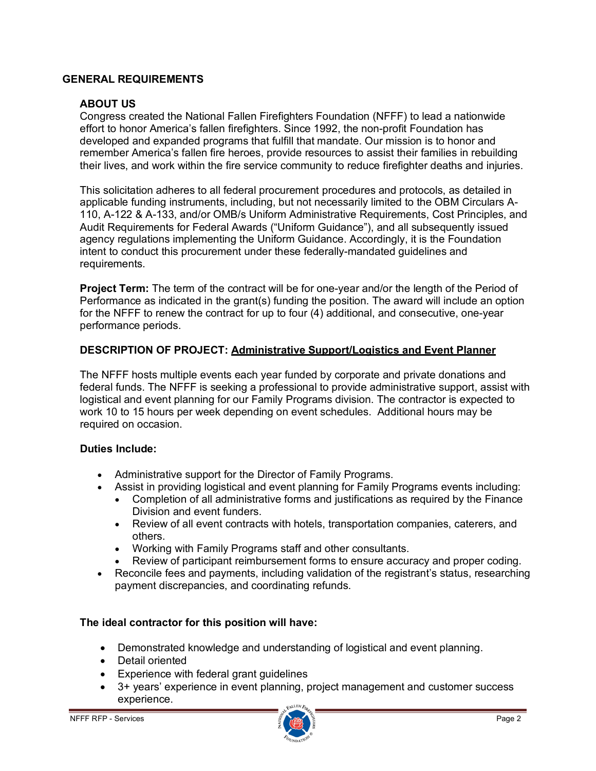## **GENERAL REQUIREMENTS**

## **ABOUT US**

Congress created the National Fallen Firefighters Foundation (NFFF) to lead a nationwide effort to honor America's fallen firefighters. Since 1992, the non-profit Foundation has developed and expanded programs that fulfill that mandate. Our mission is to honor and remember America's fallen fire heroes, provide resources to assist their families in rebuilding their lives, and work within the fire service community to reduce firefighter deaths and injuries.

This solicitation adheres to all federal procurement procedures and protocols, as detailed in applicable funding instruments, including, but not necessarily limited to the OBM Circulars A-110, A-122 & A-133, and/or OMB/s Uniform Administrative Requirements, Cost Principles, and Audit Requirements for Federal Awards ("Uniform Guidance"), and all subsequently issued agency regulations implementing the Uniform Guidance. Accordingly, it is the Foundation intent to conduct this procurement under these federally-mandated guidelines and requirements.

**Project Term:** The term of the contract will be for one-year and/or the length of the Period of Performance as indicated in the grant(s) funding the position. The award will include an option for the NFFF to renew the contract for up to four (4) additional, and consecutive, one-year performance periods.

## **DESCRIPTION OF PROJECT: Administrative Support/Logistics and Event Planner**

The NFFF hosts multiple events each year funded by corporate and private donations and federal funds. The NFFF is seeking a professional to provide administrative support, assist with logistical and event planning for our Family Programs division. The contractor is expected to work 10 to 15 hours per week depending on event schedules. Additional hours may be required on occasion.

## **Duties Include:**

- Administrative support for the Director of Family Programs.
- Assist in providing logistical and event planning for Family Programs events including:
	- Completion of all administrative forms and justifications as required by the Finance Division and event funders.
	- Review of all event contracts with hotels, transportation companies, caterers, and others.
	- Working with Family Programs staff and other consultants.
	- Review of participant reimbursement forms to ensure accuracy and proper coding.
- Reconcile fees and payments, including validation of the registrant's status, researching payment discrepancies, and coordinating refunds.

## **The ideal contractor for this position will have:**

- Demonstrated knowledge and understanding of logistical and event planning.
- Detail oriented
- Experience with federal grant guidelines
- 3+ years' experience in event planning, project management and customer success experience.

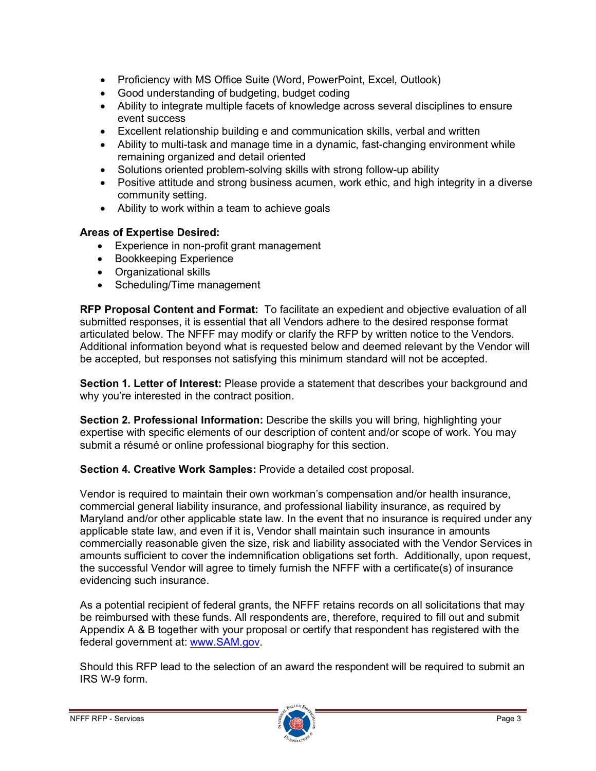- Proficiency with MS Office Suite (Word, PowerPoint, Excel, Outlook)
- Good understanding of budgeting, budget coding
- Ability to integrate multiple facets of knowledge across several disciplines to ensure event success
- Excellent relationship building e and communication skills, verbal and written
- Ability to multi-task and manage time in a dynamic, fast-changing environment while remaining organized and detail oriented
- Solutions oriented problem-solving skills with strong follow-up ability
- Positive attitude and strong business acumen, work ethic, and high integrity in a diverse community setting.
- Ability to work within a team to achieve goals

## **Areas of Expertise Desired:**

- Experience in non-profit grant management
- Bookkeeping Experience
- Organizational skills
- Scheduling/Time management

**RFP Proposal Content and Format:** To facilitate an expedient and objective evaluation of all submitted responses, it is essential that all Vendors adhere to the desired response format articulated below. The NFFF may modify or clarify the RFP by written notice to the Vendors. Additional information beyond what is requested below and deemed relevant by the Vendor will be accepted, but responses not satisfying this minimum standard will not be accepted.

**Section 1. Letter of Interest:** Please provide a statement that describes your background and why you're interested in the contract position.

**Section 2. Professional Information:** Describe the skills you will bring, highlighting your expertise with specific elements of our description of content and/or scope of work. You may submit a résumé or online professional biography for this section.

**Section 4. Creative Work Samples:** Provide a detailed cost proposal.

Vendor is required to maintain their own workman's compensation and/or health insurance, commercial general liability insurance, and professional liability insurance, as required by Maryland and/or other applicable state law. In the event that no insurance is required under any applicable state law, and even if it is, Vendor shall maintain such insurance in amounts commercially reasonable given the size, risk and liability associated with the Vendor Services in amounts sufficient to cover the indemnification obligations set forth. Additionally, upon request, the successful Vendor will agree to timely furnish the NFFF with a certificate(s) of insurance evidencing such insurance.

As a potential recipient of federal grants, the NFFF retains records on all solicitations that may be reimbursed with these funds. All respondents are, therefore, required to fill out and submit Appendix A & B together with your proposal or certify that respondent has registered with the federal government at: [www.SAM.gov.](http://www.sam.gov/)

Should this RFP lead to the selection of an award the respondent will be required to submit an IRS W-9 form.

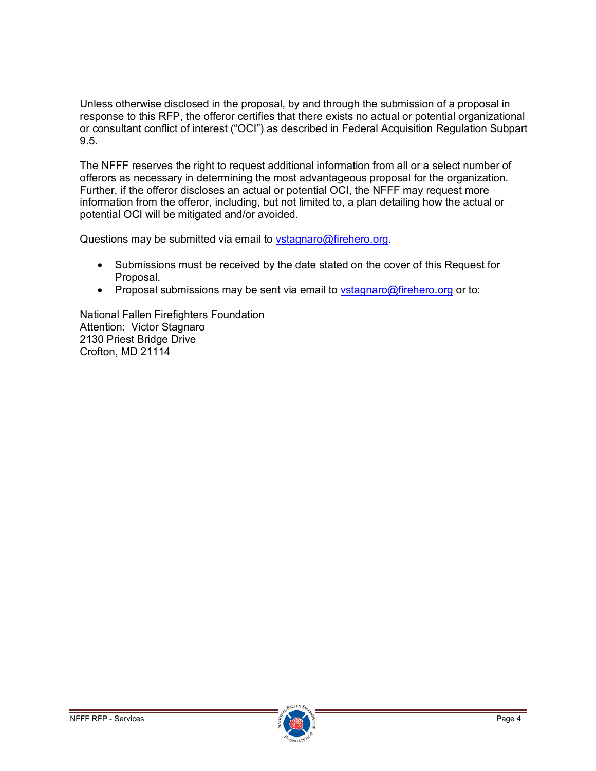Unless otherwise disclosed in the proposal, by and through the submission of a proposal in response to this RFP, the offeror certifies that there exists no actual or potential organizational or consultant conflict of interest ("OCI") as described in Federal Acquisition Regulation Subpart 9.5.

The NFFF reserves the right to request additional information from all or a select number of offerors as necessary in determining the most advantageous proposal for the organization. Further, if the offeror discloses an actual or potential OCI, the NFFF may request more information from the offeror, including, but not limited to, a plan detailing how the actual or potential OCI will be mitigated and/or avoided.

Questions may be submitted via email to [vstagnaro@firehero.org.](mailto:vstagnaro@firehero.org)

- Submissions must be received by the date stated on the cover of this Request for Proposal.
- Proposal submissions may be sent via email to [vstagnaro@firehero.org](mailto:vstagnaro@firehero.org) or to:

National Fallen Firefighters Foundation Attention: Victor Stagnaro 2130 Priest Bridge Drive Crofton, MD 21114

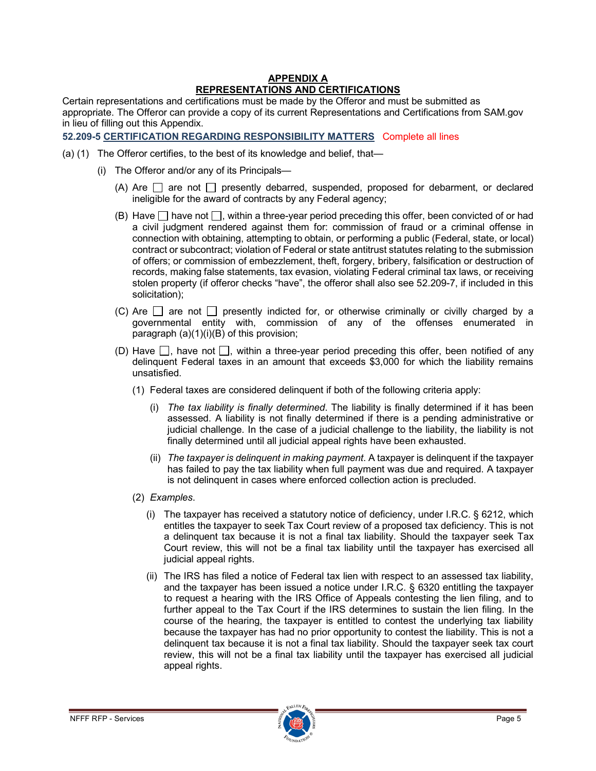## **APPENDIX A REPRESENTATIONS AND CERTIFICATIONS**

Certain representations and certifications must be made by the Offeror and must be submitted as appropriate. The Offeror can provide a copy of its current Representations and Certifications from SAM.gov in lieu of filling out this Appendix.

## **52.209-5 CERTIFICATION REGARDING RESPONSIBILITY MATTERS** Complete all lines

- (a) (1) The Offeror certifies, to the best of its knowledge and belief, that—
	- (i) The Offeror and/or any of its Principals—
		- (A) Are  $\Box$  are not  $\Box$  presently debarred, suspended, proposed for debarment, or declared ineligible for the award of contracts by any Federal agency;
		- (B) Have  $\Box$  have not  $\Box$ , within a three-year period preceding this offer, been convicted of or had a civil judgment rendered against them for: commission of fraud or a criminal offense in connection with obtaining, attempting to obtain, or performing a public (Federal, state, or local) contract or subcontract; violation of Federal or state antitrust statutes relating to the submission of offers; or commission of embezzlement, theft, forgery, bribery, falsification or destruction of records, making false statements, tax evasion, violating Federal criminal tax laws, or receiving stolen property (if offeror checks "have", the offeror shall also see 52.209-7, if included in this solicitation);
		- (C) Are  $\Box$  are not  $\Box$  presently indicted for, or otherwise criminally or civilly charged by a governmental entity with, commission of any of the offenses enumerated in paragraph  $(a)(1)(i)(B)$  of this provision;
		- (D) Have  $\Box$ , have not  $\Box$ , within a three-year period preceding this offer, been notified of any delinquent Federal taxes in an amount that exceeds \$3,000 for which the liability remains unsatisfied.
			- (1) Federal taxes are considered delinquent if both of the following criteria apply:
				- (i) *The tax liability is finally determined*. The liability is finally determined if it has been assessed. A liability is not finally determined if there is a pending administrative or judicial challenge. In the case of a judicial challenge to the liability, the liability is not finally determined until all judicial appeal rights have been exhausted.
				- (ii) *The taxpayer is delinquent in making payment*. A taxpayer is delinquent if the taxpayer has failed to pay the tax liability when full payment was due and required. A taxpayer is not delinquent in cases where enforced collection action is precluded.
			- (2) *Examples*.
				- (i) The taxpayer has received a statutory notice of deficiency, under I.R.C. § 6212, which entitles the taxpayer to seek Tax Court review of a proposed tax deficiency. This is not a delinquent tax because it is not a final tax liability. Should the taxpayer seek Tax Court review, this will not be a final tax liability until the taxpayer has exercised all judicial appeal rights.
				- (ii) The IRS has filed a notice of Federal tax lien with respect to an assessed tax liability, and the taxpayer has been issued a notice under I.R.C. § 6320 entitling the taxpayer to request a hearing with the IRS Office of Appeals contesting the lien filing, and to further appeal to the Tax Court if the IRS determines to sustain the lien filing. In the course of the hearing, the taxpayer is entitled to contest the underlying tax liability because the taxpayer has had no prior opportunity to contest the liability. This is not a delinquent tax because it is not a final tax liability. Should the taxpayer seek tax court review, this will not be a final tax liability until the taxpayer has exercised all judicial appeal rights.

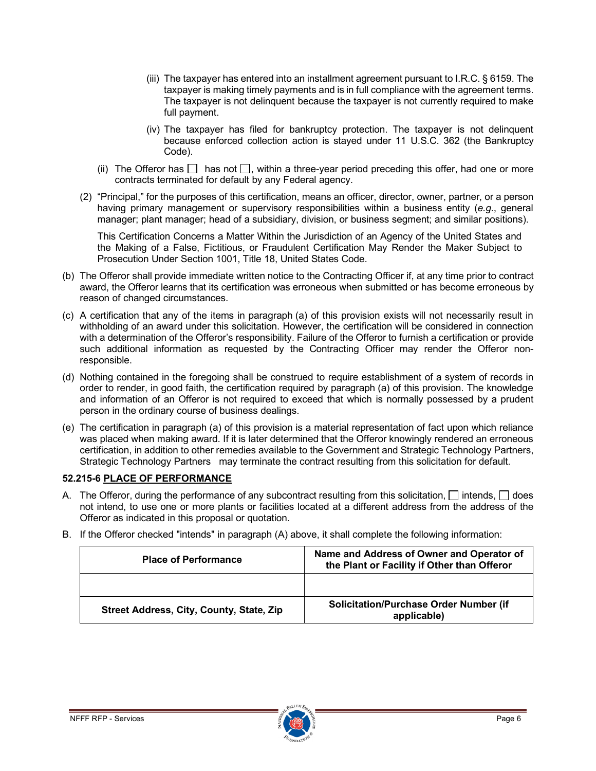- (iii) The taxpayer has entered into an installment agreement pursuant to I.R.C. § 6159. The taxpayer is making timely payments and is in full compliance with the agreement terms. The taxpayer is not delinquent because the taxpayer is not currently required to make full payment.
- (iv) The taxpayer has filed for bankruptcy protection. The taxpayer is not delinquent because enforced collection action is stayed under 11 U.S.C. 362 (the Bankruptcy Code).
- (ii) The Offeror has  $\Box$  has not  $\Box$ , within a three-year period preceding this offer, had one or more contracts terminated for default by any Federal agency.
- (2) "Principal," for the purposes of this certification, means an officer, director, owner, partner, or a person having primary management or supervisory responsibilities within a business entity (*e.g.*, general manager; plant manager; head of a subsidiary, division, or business segment; and similar positions).

This Certification Concerns a Matter Within the Jurisdiction of an Agency of the United States and the Making of a False, Fictitious, or Fraudulent Certification May Render the Maker Subject to Prosecution Under Section 1001, Title 18, United States Code.

- (b) The Offeror shall provide immediate written notice to the Contracting Officer if, at any time prior to contract award, the Offeror learns that its certification was erroneous when submitted or has become erroneous by reason of changed circumstances.
- (c) A certification that any of the items in paragraph (a) of this provision exists will not necessarily result in withholding of an award under this solicitation. However, the certification will be considered in connection with a determination of the Offeror's responsibility. Failure of the Offeror to furnish a certification or provide such additional information as requested by the Contracting Officer may render the Offeror nonresponsible.
- (d) Nothing contained in the foregoing shall be construed to require establishment of a system of records in order to render, in good faith, the certification required by paragraph (a) of this provision. The knowledge and information of an Offeror is not required to exceed that which is normally possessed by a prudent person in the ordinary course of business dealings.
- (e) The certification in paragraph (a) of this provision is a material representation of fact upon which reliance was placed when making award. If it is later determined that the Offeror knowingly rendered an erroneous certification, in addition to other remedies available to the Government and Strategic Technology Partners, Strategic Technology Partners may terminate the contract resulting from this solicitation for default.

## **52.215-6 PLACE OF PERFORMANCE**

- A. The Offeror, during the performance of any subcontract resulting from this solicitation,  $\Box$  intends,  $\Box$  does not intend, to use one or more plants or facilities located at a different address from the address of the Offeror as indicated in this proposal or quotation.
- B. If the Offeror checked "intends" in paragraph (A) above, it shall complete the following information:

| <b>Place of Performance</b>                     | Name and Address of Owner and Operator of<br>the Plant or Facility if Other than Offeror |
|-------------------------------------------------|------------------------------------------------------------------------------------------|
|                                                 |                                                                                          |
| <b>Street Address, City, County, State, Zip</b> | <b>Solicitation/Purchase Order Number (if</b><br>applicable)                             |

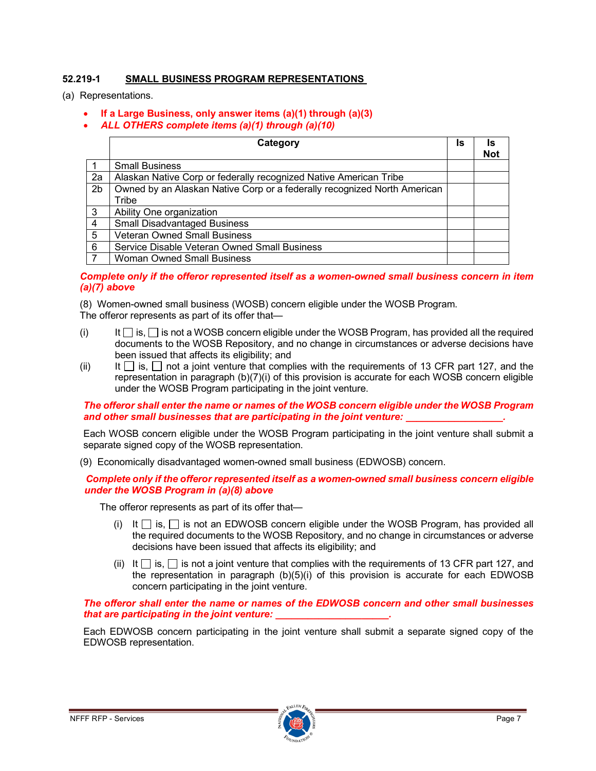## **52.219-1 SMALL BUSINESS PROGRAM REPRESENTATIONS**

(a) Representations.

- **If a Large Business, only answer items (a)(1) through (a)(3)**
- *ALL OTHERS complete items (a)(1) through (a)(10)*

|                | Category                                                                 | ls | Is<br><b>Not</b> |
|----------------|--------------------------------------------------------------------------|----|------------------|
|                | <b>Small Business</b>                                                    |    |                  |
| 2a             | Alaskan Native Corp or federally recognized Native American Tribe        |    |                  |
| 2 <sub>b</sub> | Owned by an Alaskan Native Corp or a federally recognized North American |    |                  |
|                | Tribe                                                                    |    |                  |
| 3              | Ability One organization                                                 |    |                  |
| 4              | <b>Small Disadvantaged Business</b>                                      |    |                  |
| 5              | <b>Veteran Owned Small Business</b>                                      |    |                  |
| 6              | Service Disable Veteran Owned Small Business                             |    |                  |
|                | <b>Woman Owned Small Business</b>                                        |    |                  |

#### *Complete only if the offeror represented itself as a women-owned small business concern in item (a)(7) above*

(8) Women-owned small business (WOSB) concern eligible under the WOSB Program. The offeror represents as part of its offer that—

- (i) It  $\Box$  is,  $\Box$  is not a WOSB concern eligible under the WOSB Program, has provided all the required documents to the WOSB Repository, and no change in circumstances or adverse decisions have been issued that affects its eligibility; and
- (ii) It  $\Box$  is,  $\Box$  not a joint venture that complies with the requirements of 13 CFR part 127, and the representation in paragraph (b)(7)(i) of this provision is accurate for each WOSB concern eligible under the WOSB Program participating in the joint venture.

*The offeror shall enter the name or names of the WOSB concern eligible under the WOSB Program*  and other small businesses that are participating in the joint venture:

Each WOSB concern eligible under the WOSB Program participating in the joint venture shall submit a separate signed copy of the WOSB representation.

(9) Economically disadvantaged women-owned small business (EDWOSB) concern.

#### *Complete only if the offeror represented itself as a women-owned small business concern eligible under the WOSB Program in (a)(8) above*

The offeror represents as part of its offer that—

- (i) It  $\Box$  is,  $\Box$  is not an EDWOSB concern eligible under the WOSB Program, has provided all the required documents to the WOSB Repository, and no change in circumstances or adverse decisions have been issued that affects its eligibility; and
- (ii) It  $\Box$  is,  $\Box$  is not a joint venture that complies with the requirements of 13 CFR part 127, and the representation in paragraph (b)(5)(i) of this provision is accurate for each EDWOSB concern participating in the joint venture.

#### *The offeror shall enter the name or names of the EDWOSB concern and other small businesses that are participating in the joint venture: \_\_\_\_\_\_\_\_\_\_\_\_\_\_\_\_\_\_\_\_\_.*

Each EDWOSB concern participating in the joint venture shall submit a separate signed copy of the EDWOSB representation.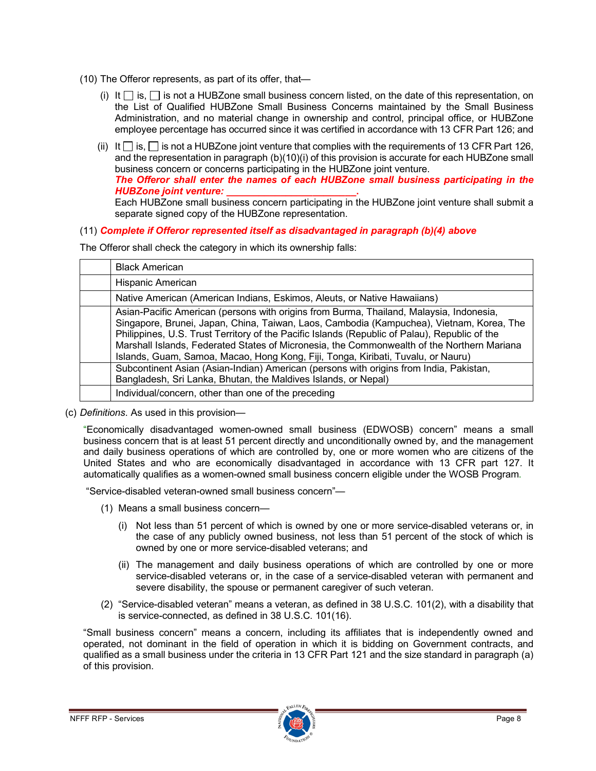- (10) The Offeror represents, as part of its offer, that—
	- (i) It  $\Box$  is,  $\Box$  is not a HUBZone small business concern listed, on the date of this representation, on the List of Qualified HUBZone Small Business Concerns maintained by the Small Business Administration, and no material change in ownership and control, principal office, or HUBZone employee percentage has occurred since it was certified in accordance with 13 CFR Part 126; and
	- (ii) It  $\Box$  is,  $\Box$  is not a HUBZone joint venture that complies with the requirements of 13 CFR Part 126, and the representation in paragraph (b)(10)(i) of this provision is accurate for each HUBZone small business concern or concerns participating in the HUBZone joint venture. *The Offeror shall enter the names of each HUBZone small business participating in the HUBZone joint venture: \_\_\_\_\_\_\_\_\_\_\_\_\_\_\_\_\_\_\_\_\_\_\_\_***.**

Each HUBZone small business concern participating in the HUBZone joint venture shall submit a separate signed copy of the HUBZone representation.

(11) *Complete if Offeror represented itself as disadvantaged in paragraph (b)(4) above*

The Offeror shall check the category in which its ownership falls:

| <b>Black American</b>                                                                                                                                                                                                                                                                                                                                                                                                                                                  |
|------------------------------------------------------------------------------------------------------------------------------------------------------------------------------------------------------------------------------------------------------------------------------------------------------------------------------------------------------------------------------------------------------------------------------------------------------------------------|
| Hispanic American                                                                                                                                                                                                                                                                                                                                                                                                                                                      |
| Native American (American Indians, Eskimos, Aleuts, or Native Hawaiians)                                                                                                                                                                                                                                                                                                                                                                                               |
| Asian-Pacific American (persons with origins from Burma, Thailand, Malaysia, Indonesia,<br>Singapore, Brunei, Japan, China, Taiwan, Laos, Cambodia (Kampuchea), Vietnam, Korea, The<br>Philippines, U.S. Trust Territory of the Pacific Islands (Republic of Palau), Republic of the<br>Marshall Islands, Federated States of Micronesia, the Commonwealth of the Northern Mariana<br>Islands, Guam, Samoa, Macao, Hong Kong, Fiji, Tonga, Kiribati, Tuvalu, or Nauru) |
| Subcontinent Asian (Asian-Indian) American (persons with origins from India, Pakistan,<br>Bangladesh, Sri Lanka, Bhutan, the Maldives Islands, or Nepal)                                                                                                                                                                                                                                                                                                               |
| Individual/concern, other than one of the preceding                                                                                                                                                                                                                                                                                                                                                                                                                    |

(c) *Definitions*. As used in this provision—

"Economically disadvantaged women-owned small business (EDWOSB) concern" means a small business concern that is at least 51 percent directly and unconditionally owned by, and the management and daily business operations of which are controlled by, one or more women who are citizens of the United States and who are economically disadvantaged in accordance with 13 CFR part 127. It automatically qualifies as a women-owned small business concern eligible under the WOSB Program.

"Service-disabled veteran-owned small business concern"—

- (1) Means a small business concern—
	- (i) Not less than 51 percent of which is owned by one or more service-disabled veterans or, in the case of any publicly owned business, not less than 51 percent of the stock of which is owned by one or more service-disabled veterans; and
	- (ii) The management and daily business operations of which are controlled by one or more service-disabled veterans or, in the case of a service-disabled veteran with permanent and severe disability, the spouse or permanent caregiver of such veteran.
- (2) "Service-disabled veteran" means a veteran, as defined in 38 U.S.C. 101(2), with a disability that is service-connected, as defined in 38 U.S.C. 101(16).

"Small business concern" means a concern, including its affiliates that is independently owned and operated, not dominant in the field of operation in which it is bidding on Government contracts, and qualified as a small business under the criteria in 13 CFR Part 121 and the size standard in paragraph (a) of this provision.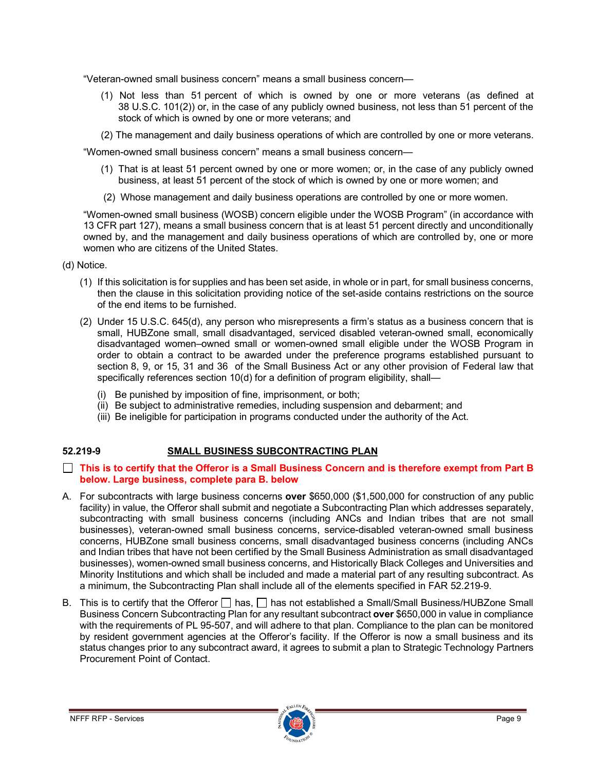"Veteran-owned small business concern" means a small business concern—

- (1) Not less than 51 percent of which is owned by one or more veterans (as defined at 38 U.S.C. 101(2)) or, in the case of any publicly owned business, not less than 51 percent of the stock of which is owned by one or more veterans; and
- (2) The management and daily business operations of which are controlled by one or more veterans.

"Women-owned small business concern" means a small business concern—

- (1) That is at least 51 percent owned by one or more women; or, in the case of any publicly owned business, at least 51 percent of the stock of which is owned by one or more women; and
- (2) Whose management and daily business operations are controlled by one or more women.

"Women-owned small business (WOSB) concern eligible under the WOSB Program" (in accordance with 13 CFR part 127), means a small business concern that is at least 51 percent directly and unconditionally owned by, and the management and daily business operations of which are controlled by, one or more women who are citizens of the United States.

- (d) Notice.
	- (1) If this solicitation is for supplies and has been set aside, in whole or in part, for small business concerns, then the clause in this solicitation providing notice of the set-aside contains restrictions on the source of the end items to be furnished.
	- (2) Under 15 U.S.C. 645(d), any person who misrepresents a firm's status as a business concern that is small, HUBZone small, small disadvantaged, serviced disabled veteran-owned small, economically disadvantaged women–owned small or women-owned small eligible under the WOSB Program in order to obtain a contract to be awarded under the preference programs established pursuant to section 8, 9, or 15, 31 and 36 of the Small Business Act or any other provision of Federal law that specifically references section 10(d) for a definition of program eligibility, shall—
		- (i) Be punished by imposition of fine, imprisonment, or both;
		- (ii) Be subject to administrative remedies, including suspension and debarment; and
		- (iii) Be ineligible for participation in programs conducted under the authority of the Act.

#### **52.219-9 SMALL BUSINESS SUBCONTRACTING PLAN**

#### **This is to certify that the Offeror is a Small Business Concern and is therefore exempt from Part B below. Large business, complete para B. below**

- A. For subcontracts with large business concerns **over** \$650,000 (\$1,500,000 for construction of any public facility) in value, the Offeror shall submit and negotiate a Subcontracting Plan which addresses separately, subcontracting with small business concerns (including ANCs and Indian tribes that are not small businesses), veteran-owned small business concerns, service-disabled veteran-owned small business concerns, HUBZone small business concerns, small disadvantaged business concerns (including ANCs and Indian tribes that have not been certified by the Small Business Administration as small disadvantaged businesses), women-owned small business concerns, and Historically Black Colleges and Universities and Minority Institutions and which shall be included and made a material part of any resulting subcontract. As a minimum, the Subcontracting Plan shall include all of the elements specified in FAR 52.219-9.
- B. This is to certify that the Offeror  $\Box$  has,  $\Box$  has not established a Small/Small Business/HUBZone Small Business Concern Subcontracting Plan for any resultant subcontract **over** \$650,000 in value in compliance with the requirements of PL 95-507, and will adhere to that plan. Compliance to the plan can be monitored by resident government agencies at the Offeror's facility. If the Offeror is now a small business and its status changes prior to any subcontract award, it agrees to submit a plan to Strategic Technology Partners Procurement Point of Contact.

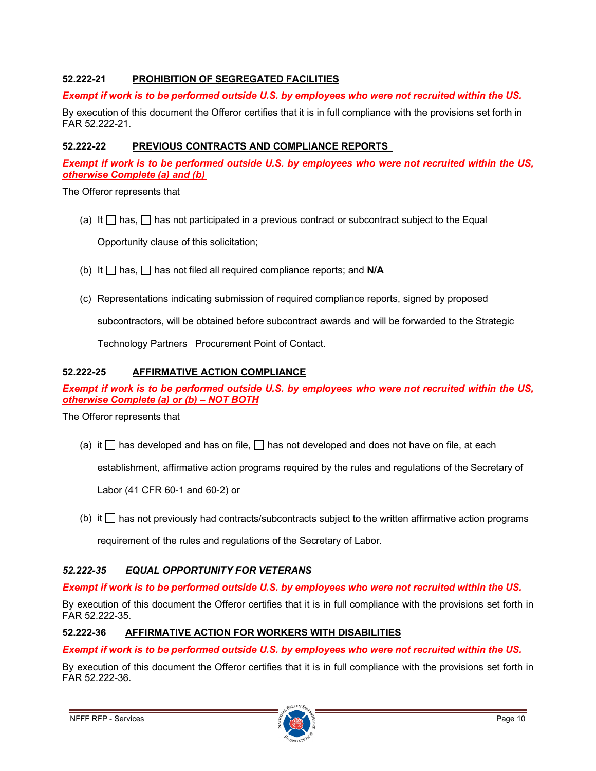## **52.222-21 PROHIBITION OF SEGREGATED FACILITIES**

## *Exempt if work is to be performed outside U.S. by employees who were not recruited within the US.*

By execution of this document the Offeror certifies that it is in full compliance with the provisions set forth in FAR 52.222-21.

## **52.222-22 PREVIOUS CONTRACTS AND COMPLIANCE REPORTS**

*Exempt if work is to be performed outside U.S. by employees who were not recruited within the US, otherwise Complete (a) and (b)* 

The Offeror represents that

(a) It  $\Box$  has,  $\Box$  has not participated in a previous contract or subcontract subject to the Equal

Opportunity clause of this solicitation;

- (b) It  $\Box$  has,  $\Box$  has not filed all required compliance reports; and **N/A**
- (c) Representations indicating submission of required compliance reports, signed by proposed

subcontractors, will be obtained before subcontract awards and will be forwarded to the Strategic

Technology Partners Procurement Point of Contact.

## **52.222-25 AFFIRMATIVE ACTION COMPLIANCE**

## *Exempt if work is to be performed outside U.S. by employees who were not recruited within the US, otherwise Complete (a) or (b) – NOT BOTH*

The Offeror represents that

(a) it  $\Box$  has developed and has on file,  $\Box$  has not developed and does not have on file, at each

establishment, affirmative action programs required by the rules and regulations of the Secretary of

Labor (41 CFR 60-1 and 60-2) or

(b) it  $\Box$  has not previously had contracts/subcontracts subject to the written affirmative action programs

requirement of the rules and regulations of the Secretary of Labor.

#### *52.222-35 EQUAL OPPORTUNITY FOR VETERANS*

#### *Exempt if work is to be performed outside U.S. by employees who were not recruited within the US.*

By execution of this document the Offeror certifies that it is in full compliance with the provisions set forth in FAR 52.222-35.

#### **52.222-36 AFFIRMATIVE ACTION FOR WORKERS WITH DISABILITIES**

#### *Exempt if work is to be performed outside U.S. by employees who were not recruited within the US.*

By execution of this document the Offeror certifies that it is in full compliance with the provisions set forth in FAR 52.222-36.

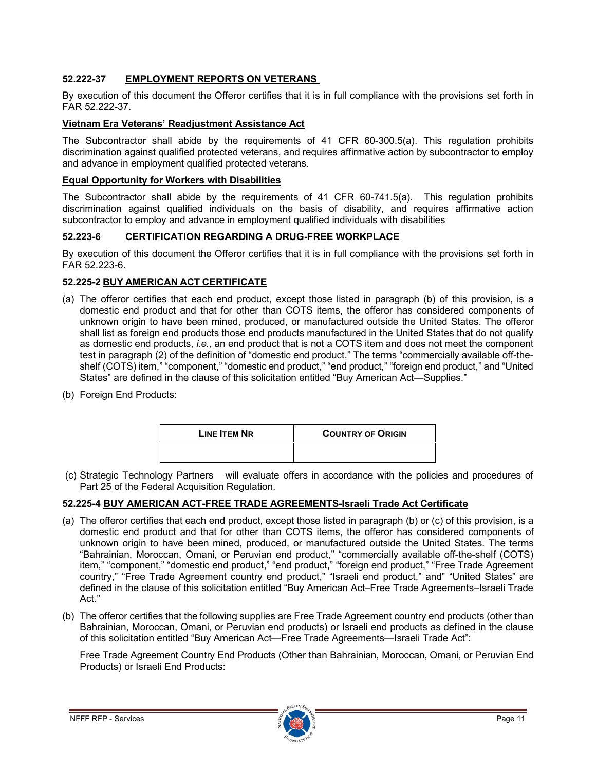## **52.222-37 EMPLOYMENT REPORTS ON VETERANS**

By execution of this document the Offeror certifies that it is in full compliance with the provisions set forth in FAR 52.222-37.

## **Vietnam Era Veterans' Readjustment Assistance Act**

The Subcontractor shall abide by the requirements of 41 CFR 60-300.5(a). This regulation prohibits discrimination against qualified protected veterans, and requires affirmative action by subcontractor to employ and advance in employment qualified protected veterans.

#### **Equal Opportunity for Workers with Disabilities**

The Subcontractor shall abide by the requirements of 41 CFR 60-741.5(a). This regulation prohibits discrimination against qualified individuals on the basis of disability, and requires affirmative action subcontractor to employ and advance in employment qualified individuals with disabilities

## **52.223-6 CERTIFICATION REGARDING A DRUG-FREE WORKPLACE**

By execution of this document the Offeror certifies that it is in full compliance with the provisions set forth in FAR 52.223-6.

## **52.225-2 BUY AMERICAN ACT CERTIFICATE**

- (a) The offeror certifies that each end product, except those listed in paragraph (b) of this provision, is a domestic end product and that for other than COTS items, the offeror has considered components of unknown origin to have been mined, produced, or manufactured outside the United States. The offeror shall list as foreign end products those end products manufactured in the United States that do not qualify as domestic end products, *i.e.*, an end product that is not a COTS item and does not meet the component test in paragraph (2) of the definition of "domestic end product." The terms "commercially available off-theshelf (COTS) item," "component," "domestic end product," "end product," "foreign end product," and "United States" are defined in the clause of this solicitation entitled "Buy American Act—Supplies."
- (b) Foreign End Products:

| LINE ITEM NR | <b>COUNTRY OF ORIGIN</b> |
|--------------|--------------------------|
|              |                          |

 (c) Strategic Technology Partners will evaluate offers in accordance with the policies and procedures of [Part 25](http://www.arnet.gov/far/current/html/FARTOCP25.html#wp225048) of the Federal Acquisition Regulation.

#### **52.225-4 BUY AMERICAN ACT-FREE TRADE AGREEMENTS-Israeli Trade Act Certificate**

- (a) The offeror certifies that each end product, except those listed in paragraph (b) or (c) of this provision, is a domestic end product and that for other than COTS items, the offeror has considered components of unknown origin to have been mined, produced, or manufactured outside the United States. The terms "Bahrainian, Moroccan, Omani, or Peruvian end product," "commercially available off-the-shelf (COTS) item," "component," "domestic end product," "end product," "foreign end product," "Free Trade Agreement country," "Free Trade Agreement country end product," "Israeli end product," and" "United States" are defined in the clause of this solicitation entitled "Buy American Act–Free Trade Agreements–Israeli Trade Act."
- (b) The offeror certifies that the following supplies are Free Trade Agreement country end products (other than Bahrainian, Moroccan, Omani, or Peruvian end products) or Israeli end products as defined in the clause of this solicitation entitled "Buy American Act—Free Trade Agreements—Israeli Trade Act":

Free Trade Agreement Country End Products (Other than Bahrainian, Moroccan, Omani, or Peruvian End Products) or Israeli End Products: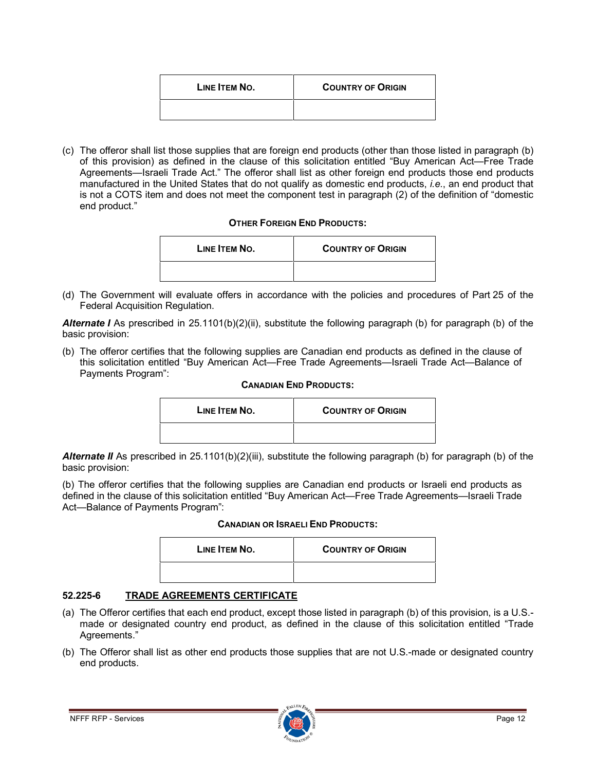| LINE ITEM NO. | <b>COUNTRY OF ORIGIN</b> |
|---------------|--------------------------|
|               |                          |

(c) The offeror shall list those supplies that are foreign end products (other than those listed in paragraph (b) of this provision) as defined in the clause of this solicitation entitled "Buy American Act—Free Trade Agreements—Israeli Trade Act." The offeror shall list as other foreign end products those end products manufactured in the United States that do not qualify as domestic end products, *i.e.*, an end product that is not a COTS item and does not meet the component test in paragraph (2) of the definition of "domestic end product."

#### **OTHER FOREIGN END PRODUCTS:**

| LINE ITEM NO. | <b>COUNTRY OF ORIGIN</b> |
|---------------|--------------------------|
|               |                          |

(d) The Government will evaluate offers in accordance with the policies and procedures of Part 25 of the Federal Acquisition Regulation.

*Alternate I* As prescribed in 25.1101(b)(2)(ii), substitute the following paragraph (b) for paragraph (b) of the basic provision:

(b) The offeror certifies that the following supplies are Canadian end products as defined in the clause of this solicitation entitled "Buy American Act—Free Trade Agreements—Israeli Trade Act—Balance of Payments Program":

#### **CANADIAN END PRODUCTS:**

| LINE ITEM NO. | <b>COUNTRY OF ORIGIN</b> |
|---------------|--------------------------|
|               |                          |

*Alternate II* As prescribed in 25.1101(b)(2)(iii), substitute the following paragraph (b) for paragraph (b) of the basic provision:

(b) The offeror certifies that the following supplies are Canadian end products or Israeli end products as defined in the clause of this solicitation entitled "Buy American Act—Free Trade Agreements—Israeli Trade Act—Balance of Payments Program":

| <b>CANADIAN OR ISRAELI END PRODUCTS:</b> |  |  |
|------------------------------------------|--|--|
|------------------------------------------|--|--|

| LINE ITEM NO. | <b>COUNTRY OF ORIGIN</b> |
|---------------|--------------------------|
|               |                          |

#### **52.225-6 TRADE AGREEMENTS CERTIFICATE**

- (a) The Offeror certifies that each end product, except those listed in paragraph (b) of this provision, is a U.S. made or designated country end product, as defined in the clause of this solicitation entitled "Trade Agreements."
- (b) The Offeror shall list as other end products those supplies that are not U.S.-made or designated country end products.

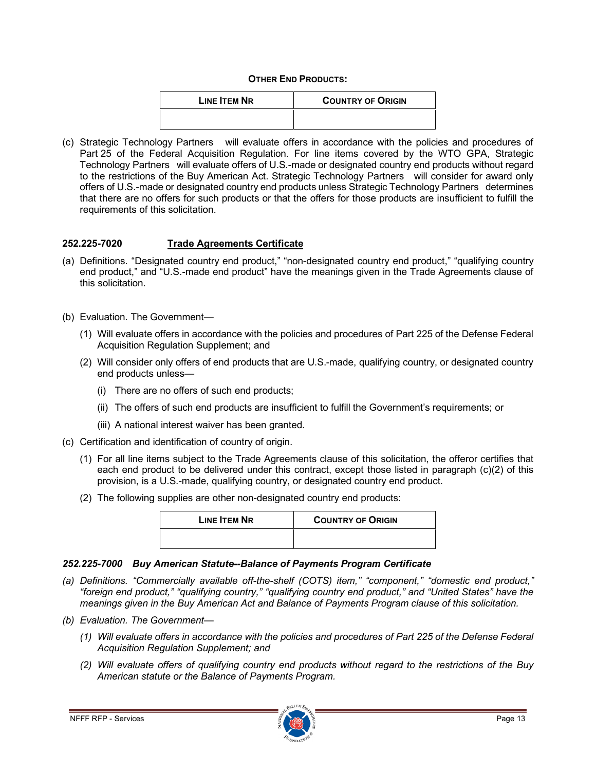#### **OTHER END PRODUCTS:**

| LINE ITEM NR | <b>COUNTRY OF ORIGIN</b> |
|--------------|--------------------------|
|              |                          |

(c) Strategic Technology Partners will evaluate offers in accordance with the policies and procedures of Part 25 of the Federal Acquisition Regulation. For line items covered by the WTO GPA, Strategic Technology Partners will evaluate offers of U.S.-made or designated country end products without regard to the restrictions of the Buy American Act. Strategic Technology Partners will consider for award only offers of U.S.-made or designated country end products unless Strategic Technology Partners determines that there are no offers for such products or that the offers for those products are insufficient to fulfill the requirements of this solicitation.

## **252.225-7020 Trade Agreements Certificate**

- (a) Definitions. "Designated country end product," "non-designated country end product," "qualifying country end product," and "U.S.-made end product" have the meanings given in the Trade Agreements clause of this solicitation.
- (b) Evaluation. The Government—
	- (1) Will evaluate offers in accordance with the policies and procedures of Part 225 of the Defense Federal Acquisition Regulation Supplement; and
	- (2) Will consider only offers of end products that are U.S.-made, qualifying country, or designated country end products unless—
		- (i) There are no offers of such end products;
		- (ii) The offers of such end products are insufficient to fulfill the Government's requirements; or
		- (iii) A national interest waiver has been granted.
- (c) Certification and identification of country of origin.
	- (1) For all line items subject to the Trade Agreements clause of this solicitation, the offeror certifies that each end product to be delivered under this contract, except those listed in paragraph (c)(2) of this provision, is a U.S.-made, qualifying country, or designated country end product.
	- (2) The following supplies are other non-designated country end products:

| LINE ITEM NR | <b>COUNTRY OF ORIGIN</b> |
|--------------|--------------------------|
|              |                          |

#### *252.225-7000 Buy American Statute--Balance of Payments Program Certificate*

- *(a) Definitions. "Commercially available off-the-shelf (COTS) item," "component," "domestic end product," "foreign end product," "qualifying country," "qualifying country end product," and "United States" have the meanings given in the Buy American Act and Balance of Payments Program clause of this solicitation.*
- *(b) Evaluation. The Government—* 
	- *(1) Will evaluate offers in accordance with the policies and procedures of Part 225 of the Defense Federal Acquisition Regulation Supplement; and*
	- *(2) Will evaluate offers of qualifying country end products without regard to the restrictions of the Buy American statute or the Balance of Payments Program.*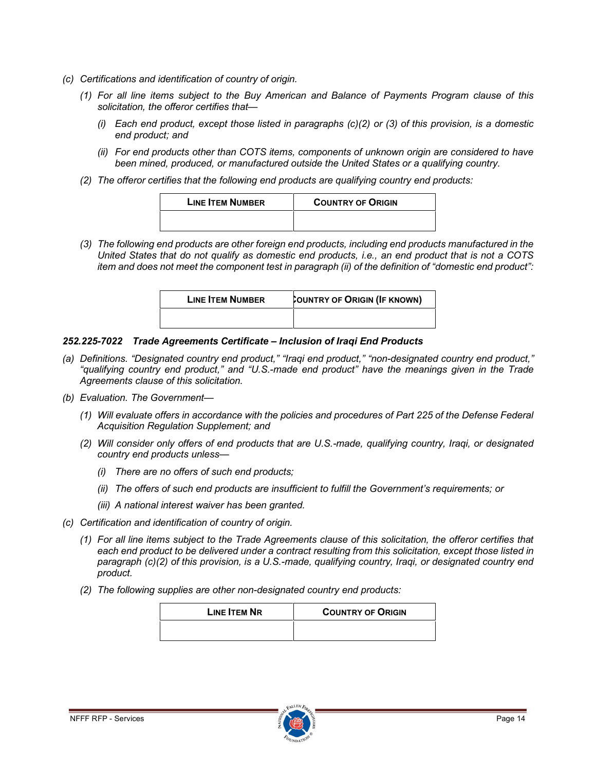- *(c) Certifications and identification of country of origin.*
	- *(1) For all line items subject to the Buy American and Balance of Payments Program clause of this solicitation, the offeror certifies that—*
		- *(i) Each end product, except those listed in paragraphs (c)(2) or (3) of this provision, is a domestic end product; and*
		- *(ii) For end products other than COTS items, components of unknown origin are considered to have been mined, produced, or manufactured outside the United States or a qualifying country.*
	- *(2) The offeror certifies that the following end products are qualifying country end products:*

| <b>LINE ITEM NUMBER</b> | <b>COUNTRY OF ORIGIN</b> |
|-------------------------|--------------------------|
|                         |                          |

*(3) The following end products are other foreign end products, including end products manufactured in the United States that do not qualify as domestic end products, i.e., an end product that is not a COTS item and does not meet the component test in paragraph (ii) of the definition of "domestic end product":*

| <b>LINE ITEM NUMBER</b> | COUNTRY OF ORIGIN (IF KNOWN) |
|-------------------------|------------------------------|
|                         |                              |

#### *252.225-7022 Trade Agreements Certificate – Inclusion of Iraqi End Products*

- *(a) Definitions. "Designated country end product," "Iraqi end product," "non-designated country end product," "qualifying country end product," and "U.S.-made end product" have the meanings given in the Trade Agreements clause of this solicitation.*
- *(b) Evaluation. The Government—*
	- *(1) Will evaluate offers in accordance with the policies and procedures of Part 225 of the Defense Federal Acquisition Regulation Supplement; and*
	- *(2) Will consider only offers of end products that are U.S.-made, qualifying country, Iraqi, or designated country end products unless—*
		- *(i) There are no offers of such end products;*
		- *(ii) The offers of such end products are insufficient to fulfill the Government's requirements; or*
		- *(iii) A national interest waiver has been granted.*
- *(c) Certification and identification of country of origin.*
	- *(1) For all line items subject to the Trade Agreements clause of this solicitation, the offeror certifies that each end product to be delivered under a contract resulting from this solicitation, except those listed in paragraph (c)(2) of this provision, is a U.S.-made, qualifying country, Iraqi, or designated country end product.*
	- *(2) The following supplies are other non-designated country end products:*

| LINE ITEM NR | <b>COUNTRY OF ORIGIN</b> |
|--------------|--------------------------|
|              |                          |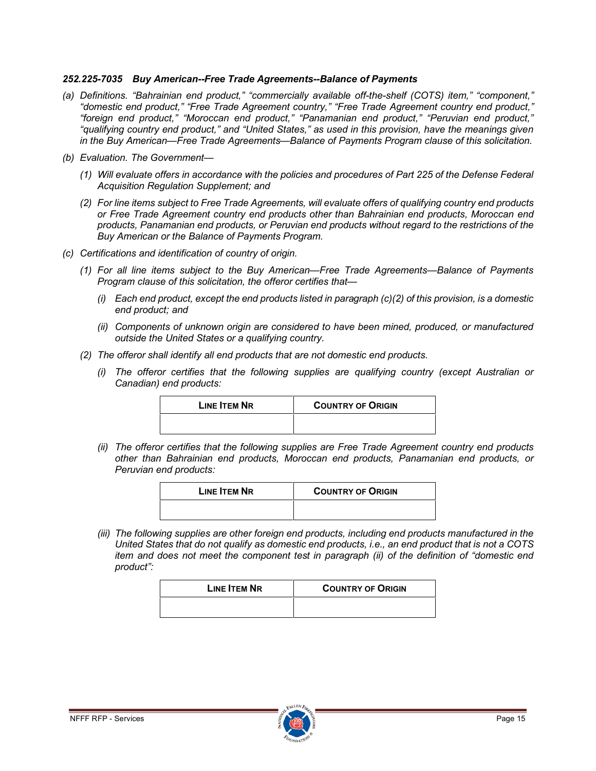#### *252.225-7035 Buy American--Free Trade Agreements--Balance of Payments*

- *(a) Definitions. "Bahrainian end product," "commercially available off-the-shelf (COTS) item," "component," "domestic end product," "Free Trade Agreement country," "Free Trade Agreement country end product," "foreign end product," "Moroccan end product," "Panamanian end product," "Peruvian end product," "qualifying country end product," and "United States," as used in this provision, have the meanings given in the Buy American—Free Trade Agreements—Balance of Payments Program clause of this solicitation.*
- *(b) Evaluation. The Government—*
	- *(1) Will evaluate offers in accordance with the policies and procedures of Part 225 of the Defense Federal Acquisition Regulation Supplement; and*
	- *(2) For line items subject to Free Trade Agreements, will evaluate offers of qualifying country end products or Free Trade Agreement country end products other than Bahrainian end products, Moroccan end products, Panamanian end products, or Peruvian end products without regard to the restrictions of the Buy American or the Balance of Payments Program.*
- *(c) Certifications and identification of country of origin.*
	- *(1) For all line items subject to the Buy American—Free Trade Agreements—Balance of Payments Program clause of this solicitation, the offeror certifies that—*
		- *(i) Each end product, except the end products listed in paragraph (c)(2) of this provision, is a domestic end product; and*
		- *(ii) Components of unknown origin are considered to have been mined, produced, or manufactured outside the United States or a qualifying country.*
	- *(2) The offeror shall identify all end products that are not domestic end products.*
		- *(i) The offeror certifies that the following supplies are qualifying country (except Australian or Canadian) end products:*

| LINE ITEM NR | <b>COUNTRY OF ORIGIN</b> |
|--------------|--------------------------|
|              |                          |

*(ii) The offeror certifies that the following supplies are Free Trade Agreement country end products other than Bahrainian end products, Moroccan end products, Panamanian end products, or Peruvian end products:*

| LINE ITEM NR | <b>COUNTRY OF ORIGIN</b> |
|--------------|--------------------------|
|              |                          |

*(iii) The following supplies are other foreign end products, including end products manufactured in the United States that do not qualify as domestic end products, i.e., an end product that is not a COTS item and does not meet the component test in paragraph (ii) of the definition of "domestic end product":*

| LINE ITEM NR | <b>COUNTRY OF ORIGIN</b> |
|--------------|--------------------------|
|              |                          |

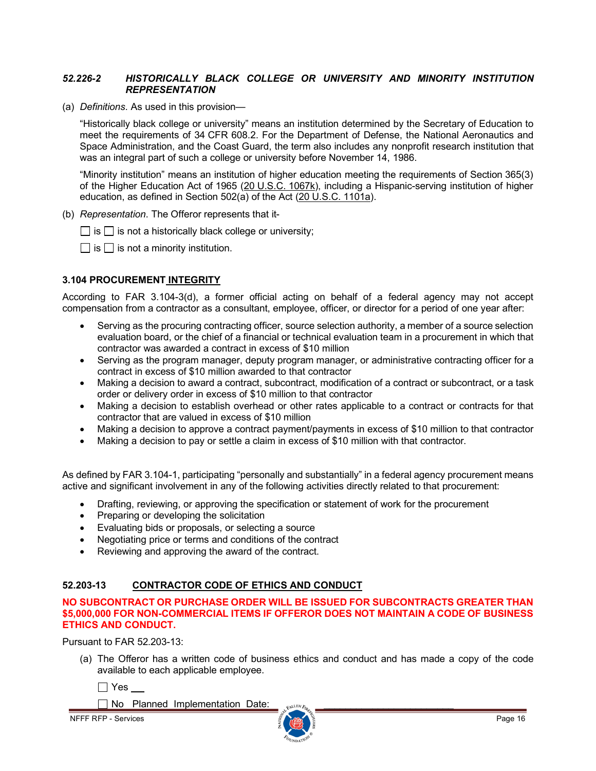#### *52.226-2 HISTORICALLY BLACK COLLEGE OR UNIVERSITY AND MINORITY INSTITUTION REPRESENTATION*

(a) *Definitions*. As used in this provision—

"Historically black college or university" means an institution determined by the Secretary of Education to meet the requirements of 34 CFR 608.2. For the Department of Defense, the National Aeronautics and Space Administration, and the Coast Guard, the term also includes any nonprofit research institution that was an integral part of such a college or university before November 14, 1986.

"Minority institution" means an institution of higher education meeting the requirements of Section 365(3) of the Higher Education Act of 1965 (20 [U.S.C.](http://uscode.house.gov/uscode-cgi/fastweb.exe?getdoc+uscview+t17t20+2890+133++%2820%29%20%20AND%20%28%2820%29%20ADJ%20USC%29%3ACITE%20%20%20%20%20%20%20%20%20) 1067k), including a Hispanic-serving institution of higher education, as defined in Section 502(a) of the Act (20 U.S.C. [1101a\)](http://uscode.house.gov/uscode-cgi/fastweb.exe?getdoc+uscview+t17t20+2890+133++%2820%29%20%20AND%20%28%2820%29%20ADJ%20USC%29%3ACITE%20%20%20%20%20%20%20%20%20).

- (b) *Representation*. The Offeror represents that it-
	- $\Box$  is  $\Box$  is not a historically black college or university;
	- $\Box$  is  $\Box$  is not a minority institution.

## **3.104 PROCUREMENT INTEGRITY**

According to FAR 3.104-3(d), a former official acting on behalf of a federal agency may not accept compensation from a contractor as a consultant, employee, officer, or director for a period of one year after:

- Serving as the procuring contracting officer, source selection authority, a member of a source selection evaluation board, or the chief of a financial or technical evaluation team in a procurement in which that contractor was awarded a contract in excess of \$10 million
- Serving as the program manager, deputy program manager, or administrative contracting officer for a contract in excess of \$10 million awarded to that contractor
- Making a decision to award a contract, subcontract, modification of a contract or subcontract, or a task order or delivery order in excess of \$10 million to that contractor
- Making a decision to establish overhead or other rates applicable to a contract or contracts for that contractor that are valued in excess of \$10 million
- Making a decision to approve a contract payment/payments in excess of \$10 million to that contractor
- Making a decision to pay or settle a claim in excess of \$10 million with that contractor.

As defined by FAR 3.104-1, participating "personally and substantially" in a federal agency procurement means active and significant involvement in any of the following activities directly related to that procurement:

- Drafting, reviewing, or approving the specification or statement of work for the procurement
- Preparing or developing the solicitation
- Evaluating bids or proposals, or selecting a source
- Negotiating price or terms and conditions of the contract
- Reviewing and approving the award of the contract.

#### **52.203-13 CONTRACTOR CODE OF ETHICS AND CONDUCT**

#### **NO SUBCONTRACT OR PURCHASE ORDER WILL BE ISSUED FOR SUBCONTRACTS GREATER THAN \$5,000,000 FOR NON-COMMERCIAL ITEMS IF OFFEROR DOES NOT MAINTAIN A CODE OF BUSINESS ETHICS AND CONDUCT.**

Pursuant to FAR 52.203-13:

(a) The Offeror has a written code of business ethics and conduct and has made a copy of the code available to each applicable employee.

 $\Box$  Yes

 $\Box$  No Planned Implementation Date:

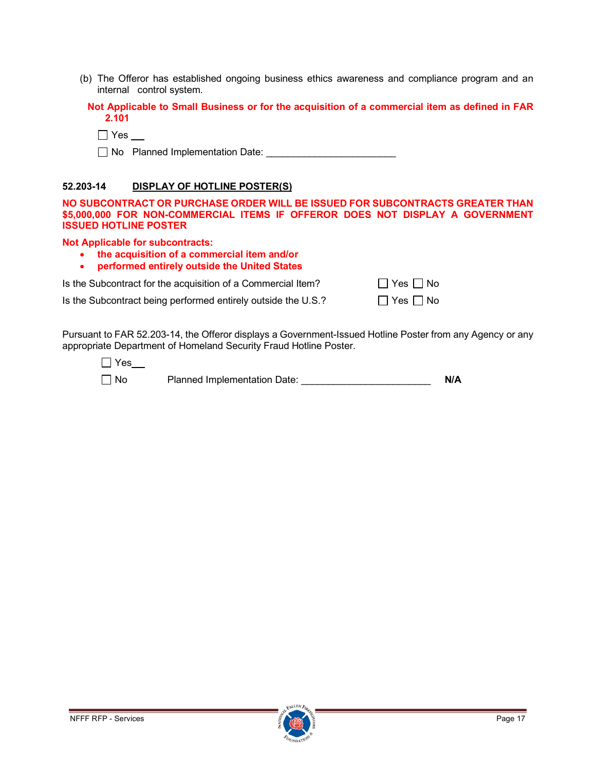(b) The Offeror has established ongoing business ethics awareness and compliance program and an internal control system.

**Not Applicable to Small Business or for the acquisition of a commercial item as defined in FAR 2.101**

Yes

No Planned Implementation Date: \_\_\_\_\_\_\_\_\_\_\_\_\_\_\_\_\_\_\_\_\_\_\_\_

#### **52.203-14 DISPLAY OF HOTLINE POSTER(S)**

**NO SUBCONTRACT OR PURCHASE ORDER WILL BE ISSUED FOR SUBCONTRACTS GREATER THAN \$5,000,000 FOR NON-COMMERCIAL ITEMS IF OFFEROR DOES NOT DISPLAY A GOVERNMENT ISSUED HOTLINE POSTER**

#### **Not Applicable for subcontracts:**

- **the acquisition of a commercial item and/or**
- **performed entirely outside the United States**

Is the Subcontract for the acquisition of a Commercial Item?  $\Box$  Yes  $\Box$  No

Is the Subcontract being performed entirely outside the U.S.?  $\Box$  Yes  $\Box$  No

| Pursuant to FAR 52.203-14, the Offeror displays a Government-Issued Hotline Poster from any Agency or any |
|-----------------------------------------------------------------------------------------------------------|
| appropriate Department of Homeland Security Fraud Hotline Poster.                                         |

 $\Box$  Yes

|--|--|

Planned Implementation Date: **N/A** 

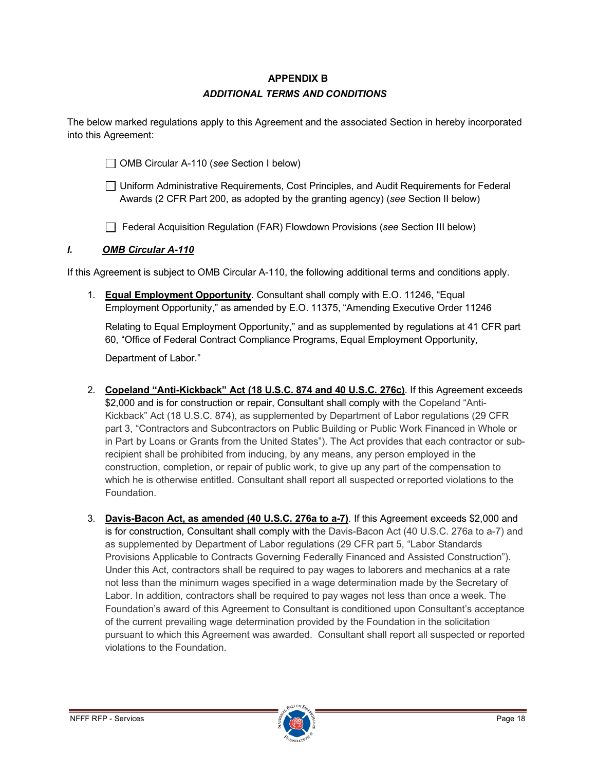## **APPENDIX B** *ADDITIONAL TERMS AND CONDITIONS*

The below marked regulations apply to this Agreement and the associated Section in hereby incorporated into this Agreement:

- OMB Circular A-110 (*see* Section I below)
- Uniform Administrative Requirements, Cost Principles, and Audit Requirements for Federal Awards (2 CFR Part 200, as adopted by the granting agency) (*see* Section II below)
- Federal Acquisition Regulation (FAR) Flowdown Provisions (*see* Section III below)

## *I. OMB Circular A-110*

If this Agreement is subject to OMB Circular A-110, the following additional terms and conditions apply.

1. **Equal Employment Opportunity**. Consultant shall comply with E.O. 11246, "Equal Employment Opportunity," as amended by E.O. 11375, "Amending Executive Order 11246

Relating to Equal Employment Opportunity," and as supplemented by regulations at 41 CFR part 60, "Office of Federal Contract Compliance Programs, Equal Employment Opportunity,

Department of Labor."

- 2. **Copeland "Anti-Kickback" Act (18 U.S.C. 874 and 40 U.S.C. 276c)**. If this Agreement exceeds \$2,000 and is for construction or repair, Consultant shall comply with the Copeland "Anti-Kickback" Act (18 U.S.C. 874), as supplemented by Department of Labor regulations (29 CFR part 3, "Contractors and Subcontractors on Public Building or Public Work Financed in Whole or in Part by Loans or Grants from the United States"). The Act provides that each contractor or subrecipient shall be prohibited from inducing, by any means, any person employed in the construction, completion, or repair of public work, to give up any part of the compensation to which he is otherwise entitled. Consultant shall report all suspected orreported violations to the Foundation.
- 3. **Davis-Bacon Act, as amended (40 U.S.C. 276a to a-7)**. If this Agreement exceeds \$2,000 and is for construction, Consultant shall comply with the Davis-Bacon Act (40 U.S.C. 276a to a-7) and as supplemented by Department of Labor regulations (29 CFR part 5, "Labor Standards Provisions Applicable to Contracts Governing Federally Financed and Assisted Construction"). Under this Act, contractors shall be required to pay wages to laborers and mechanics at a rate not less than the minimum wages specified in a wage determination made by the Secretary of Labor. In addition, contractors shall be required to pay wages not less than once a week. The Foundation's award of this Agreement to Consultant is conditioned upon Consultant's acceptance of the current prevailing wage determination provided by the Foundation in the solicitation pursuant to which this Agreement was awarded. Consultant shall report all suspected or reported violations to the Foundation.

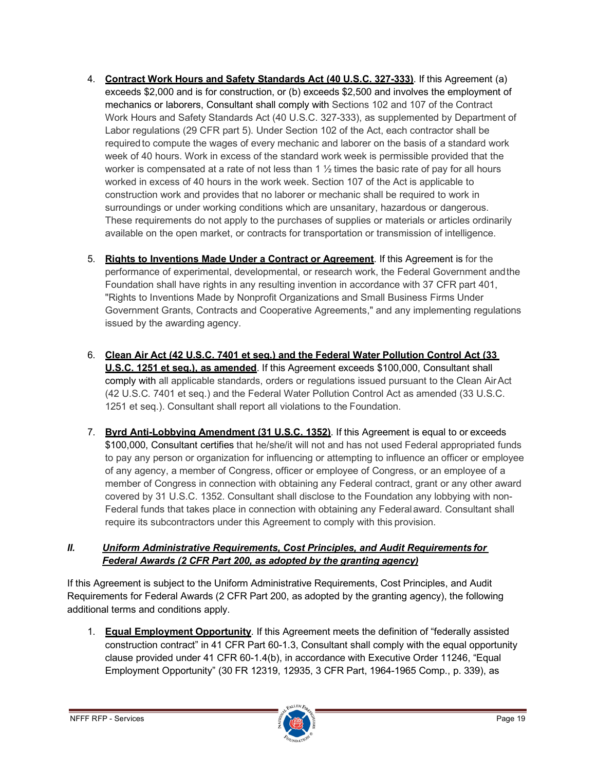- 4. **Contract Work Hours and Safety Standards Act (40 U.S.C. 327-333)**. If this Agreement (a) exceeds \$2,000 and is for construction, or (b) exceeds \$2,500 and involves the employment of mechanics or laborers, Consultant shall comply with Sections 102 and 107 of the Contract Work Hours and Safety Standards Act (40 U.S.C. 327-333), as supplemented by Department of Labor regulations (29 CFR part 5). Under Section 102 of the Act, each contractor shall be required to compute the wages of every mechanic and laborer on the basis of a standard work week of 40 hours. Work in excess of the standard work week is permissible provided that the worker is compensated at a rate of not less than 1  $\frac{1}{2}$  times the basic rate of pay for all hours worked in excess of 40 hours in the work week. Section 107 of the Act is applicable to construction work and provides that no laborer or mechanic shall be required to work in surroundings or under working conditions which are unsanitary, hazardous or dangerous. These requirements do not apply to the purchases of supplies or materials or articles ordinarily available on the open market, or contracts for transportation or transmission of intelligence.
- 5. **Rights to Inventions Made Under a Contract or Agreement**. If this Agreement is for the performance of experimental, developmental, or research work, the Federal Government andthe Foundation shall have rights in any resulting invention in accordance with 37 CFR part 401, "Rights to Inventions Made by Nonprofit Organizations and Small Business Firms Under Government Grants, Contracts and Cooperative Agreements," and any implementing regulations issued by the awarding agency.
- 6. **Clean Air Act (42 U.S.C. 7401 et seq.) and the Federal Water Pollution Control Act (33 U.S.C. 1251 et seq.), as amended**. If this Agreement exceeds \$100,000, Consultant shall comply with all applicable standards, orders or regulations issued pursuant to the Clean AirAct (42 U.S.C. 7401 et seq.) and the Federal Water Pollution Control Act as amended (33 U.S.C. 1251 et seq.). Consultant shall report all violations to the Foundation.
- 7. **Byrd Anti-Lobbying Amendment (31 U.S.C. 1352)**. If this Agreement is equal to or exceeds \$100,000, Consultant certifies that he/she/it will not and has not used Federal appropriated funds to pay any person or organization for influencing or attempting to influence an officer or employee of any agency, a member of Congress, officer or employee of Congress, or an employee of a member of Congress in connection with obtaining any Federal contract, grant or any other award covered by 31 U.S.C. 1352. Consultant shall disclose to the Foundation any lobbying with non-Federal funds that takes place in connection with obtaining any Federalaward. Consultant shall require its subcontractors under this Agreement to comply with this provision.

## *II. Uniform Administrative Requirements, Cost Principles, and Audit Requirements for Federal Awards (2 CFR Part 200, as adopted by the granting agency)*

If this Agreement is subject to the Uniform Administrative Requirements, Cost Principles, and Audit Requirements for Federal Awards (2 CFR Part 200, as adopted by the granting agency), the following additional terms and conditions apply.

1. **Equal Employment Opportunity**. If this Agreement meets the definition of "federally assisted construction contract" in 41 CFR Part 60-1.3, Consultant shall comply with the equal opportunity clause provided under 41 CFR 60-1.4(b), in accordance with Executive Order 11246, "Equal Employment Opportunity" (30 FR 12319, 12935, 3 CFR Part, 1964-1965 Comp., p. 339), as

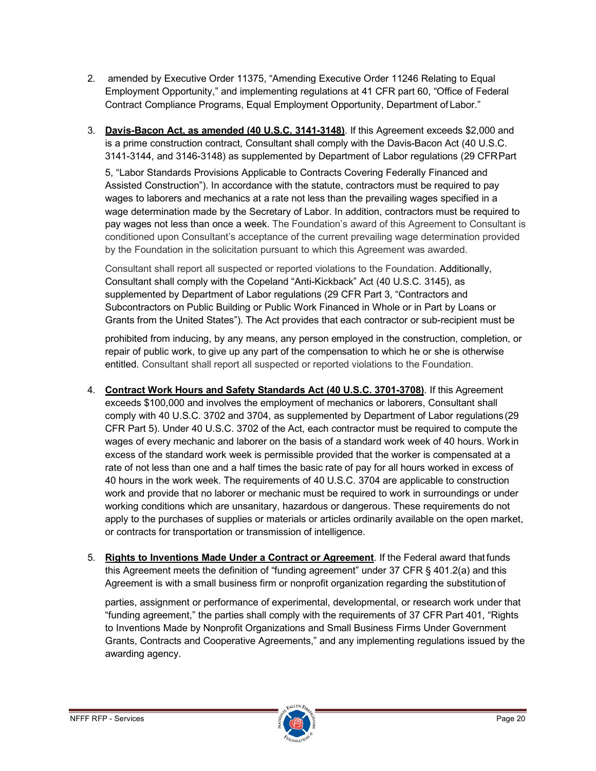- 2. amended by Executive Order 11375, "Amending Executive Order 11246 Relating to Equal Employment Opportunity," and implementing regulations at 41 CFR part 60, "Office of Federal Contract Compliance Programs, Equal Employment Opportunity, Department of Labor."
- 3. **Davis-Bacon Act, as amended (40 U.S.C. 3141-3148)**. If this Agreement exceeds \$2,000 and is a prime construction contract, Consultant shall comply with the Davis-Bacon Act (40 U.S.C. 3141-3144, and 3146-3148) as supplemented by Department of Labor regulations (29 CFR Part

5, "Labor Standards Provisions Applicable to Contracts Covering Federally Financed and Assisted Construction"). In accordance with the statute, contractors must be required to pay wages to laborers and mechanics at a rate not less than the prevailing wages specified in a wage determination made by the Secretary of Labor. In addition, contractors must be required to pay wages not less than once a week. The Foundation's award of this Agreement to Consultant is conditioned upon Consultant's acceptance of the current prevailing wage determination provided by the Foundation in the solicitation pursuant to which this Agreement was awarded.

Consultant shall report all suspected or reported violations to the Foundation. Additionally, Consultant shall comply with the Copeland "Anti-Kickback" Act (40 U.S.C. 3145), as supplemented by Department of Labor regulations (29 CFR Part 3, "Contractors and Subcontractors on Public Building or Public Work Financed in Whole or in Part by Loans or Grants from the United States"). The Act provides that each contractor or sub-recipient must be

prohibited from inducing, by any means, any person employed in the construction, completion, or repair of public work, to give up any part of the compensation to which he or she is otherwise entitled. Consultant shall report all suspected or reported violations to the Foundation.

- 4. **Contract Work Hours and Safety Standards Act (40 U.S.C. 3701-3708)**. If this Agreement exceeds \$100,000 and involves the employment of mechanics or laborers, Consultant shall comply with 40 U.S.C. 3702 and 3704, as supplemented by Department of Labor regulations (29 CFR Part 5). Under 40 U.S.C. 3702 of the Act, each contractor must be required to compute the wages of every mechanic and laborer on the basis of a standard work week of 40 hours. Work in excess of the standard work week is permissible provided that the worker is compensated at a rate of not less than one and a half times the basic rate of pay for all hours worked in excess of 40 hours in the work week. The requirements of 40 U.S.C. 3704 are applicable to construction work and provide that no laborer or mechanic must be required to work in surroundings or under working conditions which are unsanitary, hazardous or dangerous. These requirements do not apply to the purchases of supplies or materials or articles ordinarily available on the open market, or contracts for transportation or transmission of intelligence.
- 5. **Rights to Inventions Made Under a Contract or Agreement**. If the Federal award that funds this Agreement meets the definition of "funding agreement" under 37 CFR § 401.2(a) and this Agreement is with a small business firm or nonprofit organization regarding the substitution of

parties, assignment or performance of experimental, developmental, or research work under that "funding agreement," the parties shall comply with the requirements of 37 CFR Part 401, "Rights to Inventions Made by Nonprofit Organizations and Small Business Firms Under Government Grants, Contracts and Cooperative Agreements," and any implementing regulations issued by the awarding agency.